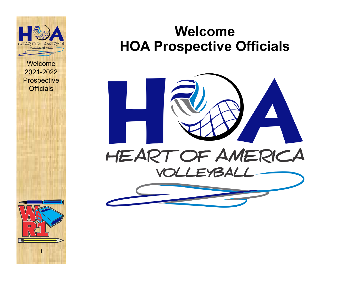

1

#### **Welcome HOA Prospective Officials**

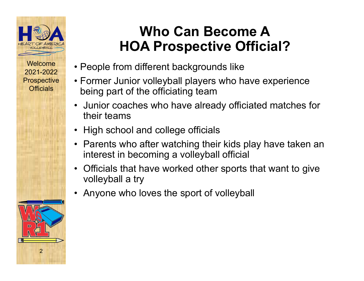

# **Who Can Become AHOA Prospective Official?**

- People from different backgrounds like
- Former Junior volleyball players who have experience being part of the officiating team
- Junior coaches who have already officiated matches for their teams
- High school and college officials
- Parents who after watching their kids play have taken an interest in becoming a volleyball official
- $\bullet$  Officials that have worked other sports that want to give volleyball a try
- •Anyone who loves the sport of volleyball

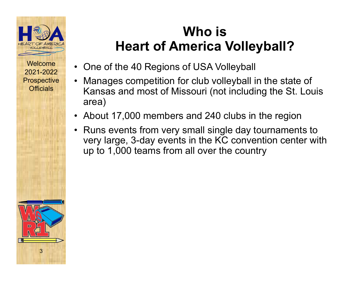

## **Who is Heart of America Volleyball?**

- One of the 40 Regions of USA Volleyball
- $\bullet$  Manages competition for club volleyball in the state of Kansas and most of Missouri (not including the St. Louis area)
- About 17,000 members and 240 clubs in the region
- Runs events from very small single day tournaments to very large, 3-day events in the KC convention center with up to 1,000 teams from all over the country

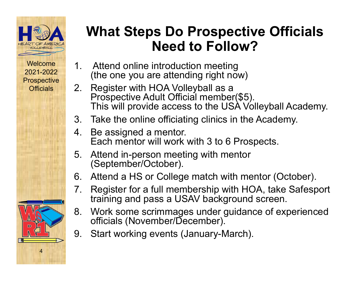

# **What Steps Do Prospective Officials Need to Follow?**

- 1. Attend online introduction meeting (the one you are attending right now)
- 2. Register with HOA Volleyball as a Prospective Adult Official member(\$5). This will provide access to the USA Volleyball Academy.
- 3. Take the online officiating clinics in the Academy.
- 4. Be assigned a mentor. Each mentor will work with 3 to 6 Prospects.
- 5. Attend in-person meeting with mentor (September/October).
- 6. Attend a HS or College match with mentor (October).
- 7. Register for a full membership with HOA, take Safesport training and pass a USAV background screen.
- 8. Work some scrimmages under guidance of experienced officials (November/December).
- 9. Start working events (January-March).

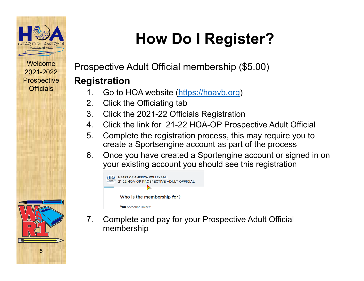

5

# **How Do I Register?**

Prospective Adult Official membership (\$5.00)

#### **Registration**

- 1. Go to HOA website (https://hoavb.org)
- 2. Click the Officiating tab
- 3. Click the 2021-22 Officials Registration
- 4. Click the link for 21-22 HOA-OP Prospective Adult Official
- 5. Complete the registration process, this may require you to create a Sportsengine account as part of the process
- 6. Once you have created a Sportengine account or signed in on your existing account you should see this registration



7. Complete and pay for your Prospective Adult Official membership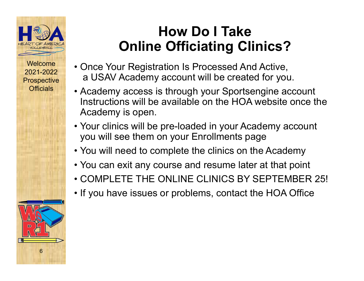

# **How Do I TakeOnline Officiating Clinics?**

- Once Your Registration Is Processed And Active, a USAV Academy account will be created for you.
- Academy access is through your Sportsengine account Instructions will be available on the HOA website once the Academy is open.
- Your clinics will be pre-loaded in your Academy account you will see them on your Enrollments page
- You will need to complete the clinics on the Academy
- You can exit any course and resume later at that point
- COMPLETE THE ONLINE CLINICS BY SEPTEMBER 25!
- If you have issues or problems, contact the HOA Office

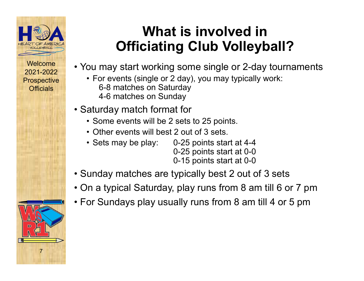

# **What is involved in Officiating Club Volleyball?**

- You may start working some single or 2-day tournaments
	- For events (single or 2 day), you may typically work: 6-8 matches on Saturday 4-6 matches on Sunday
- Saturday match format for
	- Some events will be 2 sets to 25 points.
	- Other events will best 2 out of 3 sets.
	- Sets may be play: 0-25 points start at 4-4
		- 0-25 points start at 0-0
		- 0-15 points start at 0-0
- Sunday matches are typically best 2 out of 3 sets
- On a typical Saturday, play runs from 8 am till 6 or 7 pm
- For Sundays play usually runs from 8 am till 4 or 5 pm

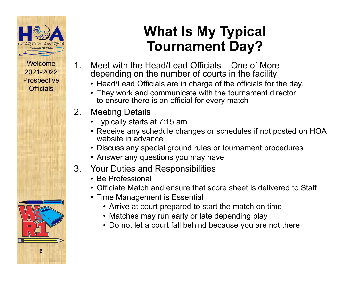



# **What Is My Typical Tournament Day?**

- 1. Meet with the Head/Lead Officials One of Moredepending on the number of courts in the facility
	- Head/Lead Officials are in charge of the officials for the day.
	- They work and communicate with the tournament director to ensure there is an official for every match
- 2. Meeting Details
	- Typically starts at 7:15 am
	- Receive any schedule changes or schedules if not posted on HOA website in advance
	- Discuss any special ground rules or tournament procedures
	- Answer any questions you may have
- 3. Your Duties and Responsibilities
	- Be Professional
	- Officiate Match and ensure that score sheet is delivered to Staff
	- Time Management is Essential
		- Arrive at court prepared to start the match on time
		- Matches may run early or late depending play
		- Do not let a court fall behind because you are not there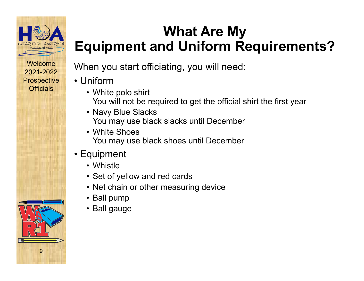



# **What Are My Equipment and Uniform Requirements?**

When you start officiating, you will need:

- Uniform
	- White polo shirt You will not be required to get the official shirt the first year
	- Navy Blue Slacks You may use black slacks until December
	- White ShoesYou may use black shoes until December
- Equipment
	- Whistle
	- Set of yellow and red cards
	- Net chain or other measuring device
	- Ball pump
	- Ball gauge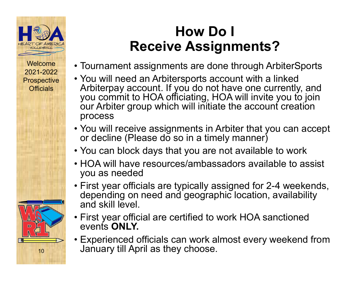

# **How Do I Receive Assignments?**

- Tournament assignments are done through ArbiterSports
- You will need an Arbitersports account with a linked Arbiterpay account. If you do not have one currently, and you commit to HOA officiating, HOA will invite you to join our Arbiter group which will initiate the account creation process
- You will receive assignments in Arbiter that you can accept or decline (Please do so in a timely manner)
- You can block days that you are not available to work
- HOA will have resources/ambassadors available to assist you as needed
- First year officials are typically assigned for 2-4 weekends, depending on need and geographic location, availability and skill level.
- First year official are certified to work HOA sanctioned events **ONLY.**
- Experienced officials can work almost every weekend from January till April as they choose.

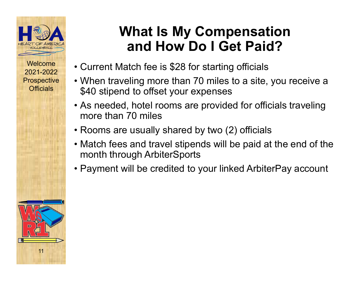

# **What Is My Compensation and How Do I Get Paid?**

- Current Match fee is \$28 for starting officials
- When traveling more than 70 miles to a site, you receive a \$40 stipend to offset your expenses
- As needed, hotel rooms are provided for officials traveling more than 70 miles
- Rooms are usually shared by two (2) officials
- Match fees and travel stipends will be paid at the end of the month through ArbiterSports
- Payment will be credited to your linked ArbiterPay account

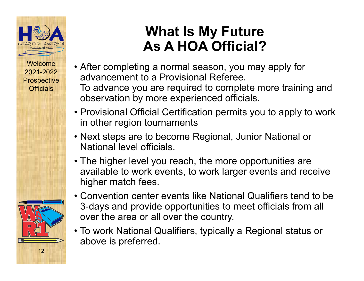

# **What Is My Future As A HOA Official?**

- After completing a normal season, you may apply for advancement to a Provisional Referee.To advance you are required to complete more training and observation by more experienced officials.
- Provisional Official Certification permits you to apply to work in other region tournaments
- Next steps are to become Regional, Junior National or National level officials.
- The higher level you reach, the more opportunities are available to work events, to work larger events and receive higher match fees.
- Convention center events like National Qualifiers tend to be 3-days and provide opportunities to meet officials from all over the area or all over the country.
- To work National Qualifiers, typically a Regional status or above is preferred.

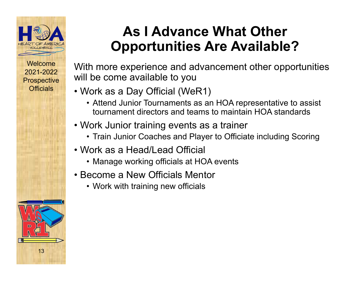

# **As I Advance What Other Opportunities Are Available?**

With more experience and advancement other opportunities will be come available to you

- Work as a Day Official (WeR1)
	- Attend Junior Tournaments as an HOA representative to assist tournament directors and teams to maintain HOA standards
- Work Junior training events as a trainer
	- Train Junior Coaches and Player to Officiate including Scoring
- Work as a Head/Lead Official
	- Manage working officials at HOA events
- Become a New Officials Mentor
	- Work with training new officials